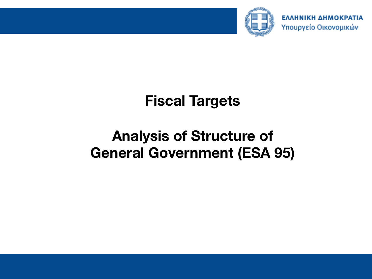

## **Fiscal Targets**

# **Analysis of Structure of General Government (ESA 95)**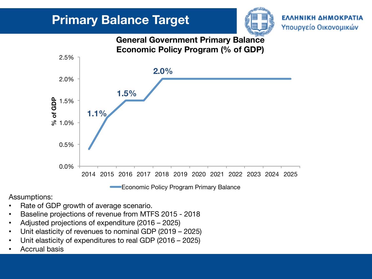

#### **General Government Primary Balance Economic Policy Program (% of GDP)**



Economic Policy Program Primary Balance

Assumptions:

- Rate of GDP growth of average scenario.
- Baseline projections of revenue from MTFS 2015 2018
- Adjusted projections of expenditure (2016 2025)
- Unit elasticity of revenues to nominal GDP (2019 2025)
- Unit elasticity of expenditures to real GDP (2016 2025)
- Accrual basis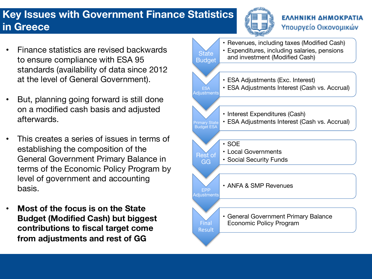### **Key Issues with Government Finance Statistics in Greece**



#### ΕΛΛΗΝΙΚΗ ΔΗΜΟΚΡΑΤΙΑ Υπουργείο Οικονομικών

- Finance statistics are revised backwards to ensure compliance with ESA 95 standards (availability of data since 2012 at the level of General Government).
- But, planning going forward is still done on a modified cash basis and adjusted afterwards.
- This creates a series of issues in terms of establishing the composition of the General Government Primary Balance in terms of the Economic Policy Program by level of government and accounting basis.
- **Most of the focus is on the State Budget (Modified Cash) but biggest contributions to fiscal target come from adjustments and rest of GG**

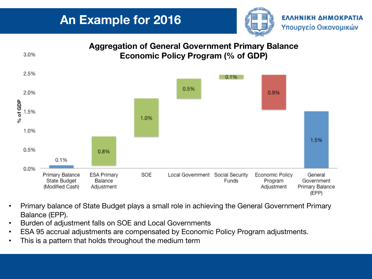



- Primary balance of State Budget plays a small role in achieving the General Government Primary Balance (EPP).
- Burden of adjustment falls on SOE and Local Governments
- ESA 95 accrual adjustments are compensated by Economic Policy Program adjustments.
- This is a pattern that holds throughout the medium term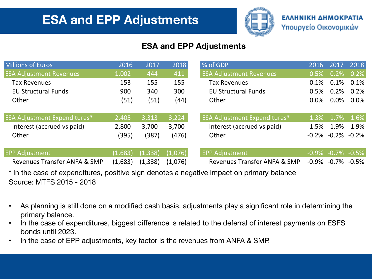

#### **ESA and EPP Adjustments**

| Millions of Euros                   | 2016    | 2017     | 2018    | % of GDP                            | 2016                   | 2017    | 2018                   |
|-------------------------------------|---------|----------|---------|-------------------------------------|------------------------|---------|------------------------|
| <b>ESA Adjustment Revenues</b>      | 1,002   | 444      | 411     | <b>ESA Adjustment Revenues</b>      | 0.5%                   | 0.2%    | 0.2%                   |
| <b>Tax Revenues</b>                 | 153     | 155      | 155     | <b>Tax Revenues</b>                 | 0.1%                   | 0.1%    | 0.1%                   |
| <b>EU Structural Funds</b>          | 900     | 340      | 300     | <b>EU Structural Funds</b>          | 0.5%                   | 0.2%    | 0.2%                   |
| Other                               | (51)    | (51)     | (44)    | Other                               | 0.0%                   | $0.0\%$ | $0.0\%$                |
| <b>ESA Adjustment Expenditures*</b> | 2,405   | 3,313    | 3,224   | <b>ESA Adjustment Expenditures*</b> | 1.3%                   | 1.7%    | $1.6\%$                |
| Interest (accrued vs paid)          | 2,800   | 3,700    | 3,700   | Interest (accrued vs paid)          | 1.5%                   | 1.9%    | 1.9%                   |
| Other                               | (395)   | (387)    | (476)   | Other                               | $-0.2\% -0.2\% -0.2\%$ |         |                        |
| <b>EPP Adjustment</b>               | (1,683) | (1, 338) | (1,076) | <b>EPP Adjustment</b>               |                        |         | $-0.9\% -0.7\% -0.5\%$ |
| Revenues Transfer ANFA & SMP        | (1,683) | (1, 338) | (1,076) | Revenues Transfer ANFA & SMP        | $-0.9\% -0.7\% -0.5\%$ |         |                        |

\* In the case of expenditures, positive sign denotes a negative impact on primary balance Source: MTFS 2015 - 2018

- As planning is still done on a modified cash basis, adjustments play a significant role in determining the primary balance.
- In the case of expenditures, biggest difference is related to the deferral of interest payments on ESFS bonds until 2023.
- In the case of EPP adjustments, key factor is the revenues from ANFA & SMP.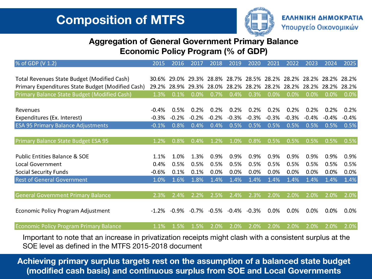

#### **Aggregation of General Government Primary Balance Economic Policy Program (% of GDP)**

| % of GDP (V 1.2)                                  | 2015    | 2016    | 2017     | 2018    | 2019                                      | 2020    | 2021    | 2022    | 2023    | 2024            | 2025    |
|---------------------------------------------------|---------|---------|----------|---------|-------------------------------------------|---------|---------|---------|---------|-----------------|---------|
|                                                   |         |         |          |         |                                           |         |         |         |         |                 |         |
| Total Revenues State Budget (Modified Cash)       |         | 29.0%   |          |         | 29.3% 28.8% 28.7% 28.5% 28.2% 28.2% 28.2% |         |         |         |         | - 28.2% - 28.2% |         |
| Primary Expenditures State Budget (Modified Cash) |         | 28.9%   | 29.3%    |         | 28.0% 28.2%                               | 28.2%   | 28.2%   | 28.2%   | 28.2%   | 28.2%           | 28.2%   |
| Primary Balance State Budget (Modified Cash)      | 1.3%    | 0.1%    | 0.0%     | 0.7%    | 0.4%                                      | 0.3%    | 0.0%    | $0.0\%$ | 0.0%    | 0.0%            | 0.0%    |
|                                                   |         |         |          |         |                                           |         |         |         |         |                 |         |
| Revenues                                          | $-0.4%$ | 0.5%    | 0.2%     | 0.2%    | 0.2%                                      | 0.2%    | 0.2%    | 0.2%    | 0.2%    | 0.2%            | 0.2%    |
| Expenditures (Ex. Interest)                       | $-0.3%$ | $-0.2%$ | $-0.2%$  | $-0.2%$ | $-0.3%$                                   | $-0.3%$ | $-0.3%$ | $-0.3%$ | $-0.4%$ | $-0.4%$         | $-0.4%$ |
| <b>ESA 95 Primary Balance Adjustments</b>         | $-0.1%$ | 0.8%    | 0.4%     | 0.4%    | 0.5%                                      | 0.5%    | 0.5%    | 0.5%    | 0.5%    | 0.5%            | 0.5%    |
|                                                   |         |         |          |         |                                           |         |         |         |         |                 |         |
| Primary Balance State Budget ESA 95               | 1.2%    | 0.8%    | 0.4%     | 1.2%    | 1.0%                                      | 0.8%    | 0.5%    | 0.5%    | 0.5%    | 0.5%            | 0.5%    |
|                                                   |         |         |          |         |                                           |         |         |         |         |                 |         |
| <b>Public Entities Balance &amp; SOE</b>          | 1.1%    | 1.0%    | 1.3%     | 0.9%    | 0.9%                                      | 0.9%    | 0.9%    | 0.9%    | 0.9%    | 0.9%            | 0.9%    |
| <b>Local Government</b>                           | 0.4%    | 0.5%    | 0.5%     | 0.5%    | 0.5%                                      | 0.5%    | 0.5%    | 0.5%    | 0.5%    | 0.5%            | 0.5%    |
| <b>Social Security Funds</b>                      | $-0.6%$ | 0.1%    | 0.1%     | 0.0%    | 0.0%                                      | 0.0%    | 0.0%    | 0.0%    | 0.0%    | 0.0%            | 0.0%    |
| <b>Rest of General Government</b>                 | 1.0%    | 1.6%    | 1.8%     | 1.4%    | 1.4%                                      | 1.4%    | 1.4%    | 1.4%    | 1.4%    | 1.4%            | 1.4%    |
|                                                   |         |         |          |         |                                           |         |         |         |         |                 |         |
| <b>General Government Primary Balance</b>         | 2.3%    | 2.4%    | 2.2%     | 2.5%    | 2.4%                                      | 2.3%    | 2.0%    | 2.0%    | 2.0%    | 2.0%            | 2.0%    |
|                                                   |         |         |          |         |                                           |         |         |         |         |                 |         |
| Economic Policy Program Adjustment                | $-1.2%$ | $-0.9%$ | $-0.7\%$ | $-0.5%$ | $-0.4%$                                   | $-0.3%$ | 0.0%    | 0.0%    | 0.0%    | 0.0%            | $0.0\%$ |
|                                                   |         |         |          |         |                                           |         |         |         |         |                 |         |
| <b>Economic Policy Program Primary Balance</b>    | 1.1%    | 1.5%    | 1.5%     | 2.0%    | 2.0%                                      | 2.0%    | 2.0%    | 2.0%    | 2.0%    | 2.0%            | 2.0%    |

Important to note that an increase in privatization receipts might clash with a consistent surplus at the SOE level as defined in the MTFS 2015-2018 document

**Achieving primary surplus targets rest on the assumption of a balanced state budget (modified cash basis) and continuous surplus from SOE and Local Governments**